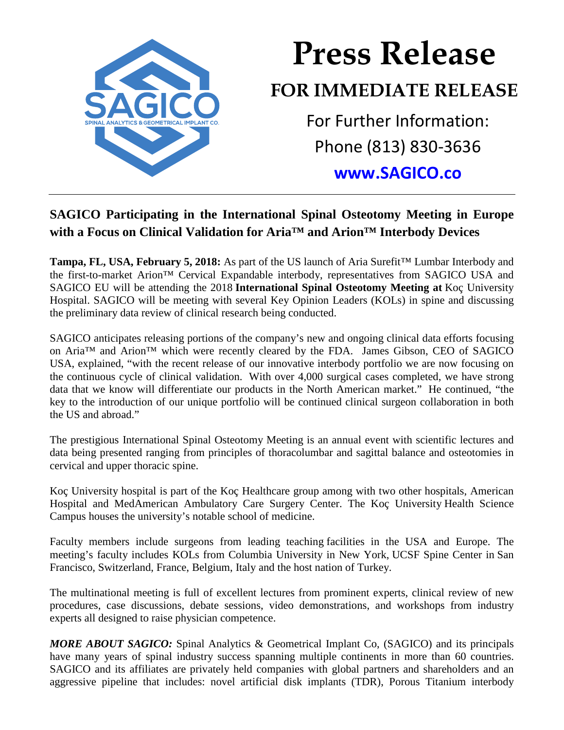

## **Press Release FOR IMMEDIATE RELEASE** For Further Information: Phone (813) 830-3636 **[www.SAGICO.co](http://www.sagico.co/)**

## **SAGICO Participating in the International Spinal Osteotomy Meeting in Europe with a Focus on Clinical Validation for Aria™ and Arion™ Interbody Devices**

**Tampa, FL, USA, February 5, 2018:** As part of the US launch of Aria Surefit™ Lumbar Interbody and the first-to-market Arion™ Cervical Expandable interbody, representatives from SAGICO USA and SAGICO EU will be attending the 2018 **International Spinal Osteotomy Meeting at** Koç University Hospital. SAGICO will be meeting with several Key Opinion Leaders (KOLs) in spine and discussing the preliminary data review of clinical research being conducted.

SAGICO anticipates releasing portions of the company's new and ongoing clinical data efforts focusing on Aria™ and Arion™ which were recently cleared by the FDA. James Gibson, CEO of SAGICO USA, explained, "with the recent release of our innovative interbody portfolio we are now focusing on the continuous cycle of clinical validation. With over 4,000 surgical cases completed, we have strong data that we know will differentiate our products in the North American market." He continued, "the key to the introduction of our unique portfolio will be continued clinical surgeon collaboration in both the US and abroad."

The prestigious International Spinal Osteotomy Meeting is an annual event with scientific lectures and data being presented ranging from principles of thoracolumbar and sagittal balance and osteotomies in cervical and upper thoracic spine.

Koç University hospital is part of the Koç Healthcare group among with two other hospitals, American Hospital and MedAmerican Ambulatory Care Surgery Center. The Koç University Health Science Campus houses the university's notable school of medicine.

Faculty members include surgeons from leading teaching facilities in the USA and Europe. The meeting's faculty includes KOLs from Columbia University in New York, UCSF Spine Center in San Francisco, Switzerland, France, Belgium, Italy and the host nation of Turkey.

The multinational meeting is full of excellent lectures from prominent experts, clinical review of new procedures, case discussions, debate sessions, video demonstrations, and workshops from industry experts all designed to raise physician competence.

*MORE ABOUT SAGICO:* Spinal Analytics & Geometrical Implant Co, (SAGICO) and its principals have many years of spinal industry success spanning multiple continents in more than 60 countries. SAGICO and its affiliates are privately held companies with global partners and shareholders and an aggressive pipeline that includes: novel artificial disk implants (TDR), Porous Titanium interbody